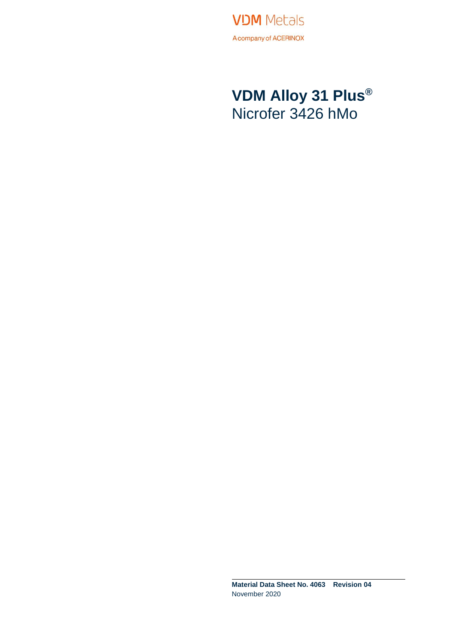**VDM** Metals A company of ACERINOX

### **VDM Alloy 31 Plus®** Nicrofer 3426 hMo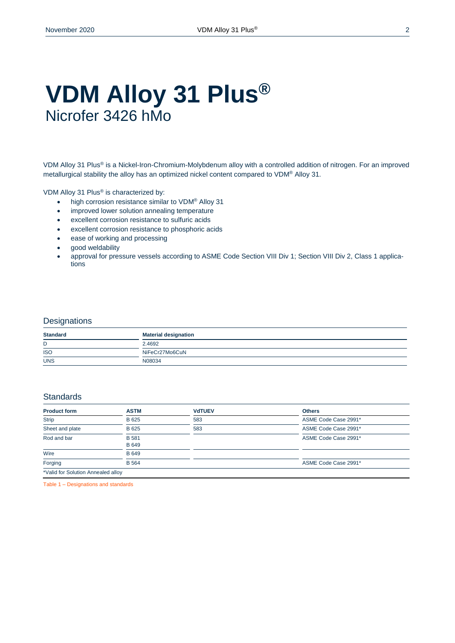### **VDM Alloy 31 Plus®** Nicrofer 3426 hMo

VDM Alloy 31 Plus® is a Nickel-Iron-Chromium-Molybdenum alloy with a controlled addition of nitrogen. For an improved metallurgical stability the alloy has an optimized nickel content compared to VDM® Alloy 31.

VDM Alloy 31 Plus® is characterized by:

- high corrosion resistance similar to VDM<sup>®</sup> Alloy 31
- improved lower solution annealing temperature
- excellent corrosion resistance to sulfuric acids
- excellent corrosion resistance to phosphoric acids
- ease of working and processing
- good weldability
- approval for pressure vessels according to ASME Code Section VIII Div 1; Section VIII Div 2, Class 1 applications

#### **Designations**

| <b>Standard</b>                                 | <b>Material designation</b> |
|-------------------------------------------------|-----------------------------|
| D                                               | 2.4692                      |
| <b>ISO</b><br><b>Contract Contract Contract</b> | NiFeCr27Mo6CuN              |
| <b>UNS</b>                                      | N08034                      |

#### **Standards**

| <b>Product form</b>                | <b>ASTM</b>                  | <b>VdTUEV</b> | <b>Others</b>        |
|------------------------------------|------------------------------|---------------|----------------------|
| <b>Strip</b>                       | B 625                        | 583           | ASME Code Case 2991* |
| Sheet and plate                    | B 625                        | 583           | ASME Code Case 2991* |
| Rod and bar                        | <b>B</b> 581<br><b>B</b> 649 |               | ASME Code Case 2991* |
| Wire                               | <b>B</b> 649                 |               |                      |
| Forging                            | <b>B</b> 564                 |               | ASME Code Case 2991* |
| *Valid for Solution Annealed alloy |                              |               |                      |

Table 1 – Designations and standards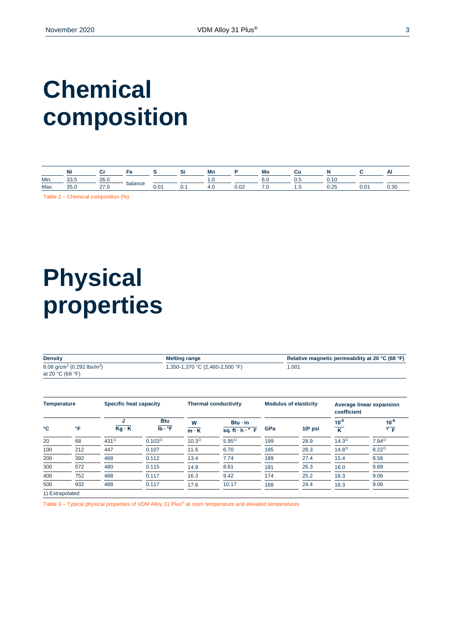# **Chemical composition**

|      | .<br>Νı        |                        |         |      |    | Mn  |                | Mс      | ◡   |                |               |  |
|------|----------------|------------------------|---------|------|----|-----|----------------|---------|-----|----------------|---------------|--|
| Min. | $\sim$<br>uu.u | 0 <sub>0</sub><br>ZU.V |         |      |    | . . |                | o.u     | v.J |                |               |  |
| Max. | OE.<br>oo,u    | 67                     | balance | 0.01 | U. | - ט | $\sim$<br>0.02 | $\cdot$ | .   | $\sim$<br>0.Z. | $\sim$<br>v.v |  |

Table 2 – Chemical composition (%)

# **Physical properties**

| <b>Density</b>                                      | <b>Melting range</b>            | Relative magnetic permeability at 20 °C (68 °F) |
|-----------------------------------------------------|---------------------------------|-------------------------------------------------|
| 8.08 g/cm <sup>3</sup> (0.292 lbs/in <sup>3</sup> ) | 1,350-1,370 °C (2,460-2,500 °F) | .001                                            |
| at 20 $°C$ (68 $°F$ )                               |                                 |                                                 |

| <b>Temperature</b> |     | Specific heat capacity |                                                         | <b>Thermal conductivity</b> |                                                | <b>Modulus of elasticity</b> |           | Average linear expansion<br>coefficient |                                   |
|--------------------|-----|------------------------|---------------------------------------------------------|-----------------------------|------------------------------------------------|------------------------------|-----------|-----------------------------------------|-----------------------------------|
| °C                 | °F  | J<br>$Kq \cdot K$      | <b>Btu</b><br>$\overline{\mathsf{lb} \cdot \mathsf{P}}$ | W<br>$m \cdot K$            | $Btu \cdot in$<br>sq. ft $\cdot$ h $\cdot$ ° F | GPa                          | $106$ psi | $10^{-6}$<br>$\overline{\mathbf{K}}$    | $10^{-6}$<br>$\overline{\cdot}$ F |
| 20                 | 68  | $431^{1}$              | 0.103 <sup>1</sup>                                      | $10.3^{1}$                  | $5.95^{1}$                                     | 199                          | 28.9      | $14.3^{1}$                              | $7.94^{1}$                        |
| 100                | 212 | 447                    | 0.107                                                   | 11.6                        | 6.70                                           | 195                          | 28.3      | $14.8^{1}$                              | $8.22^{1}$                        |
| 200                | 392 | 468                    | 0.112                                                   | 13.4                        | 7.74                                           | 189                          | 27.4      | 15.4                                    | 8.56                              |
| 300                | 572 | 480                    | 0.115                                                   | 14.9                        | 8.61                                           | 181                          | 26.3      | 16.0                                    | 8.89                              |
| 400                | 752 | 488                    | 0.117                                                   | 16.3                        | 9.42                                           | 174                          | 25.2      | 16.3                                    | 9.06                              |
| 500                | 932 | 488                    | 0.117                                                   | 17.6                        | 10.17                                          | 168                          | 24.4      | 16.3                                    | 9.06                              |
| 1) Extrapolated    |     |                        |                                                         |                             |                                                |                              |           |                                         |                                   |

Table 3 – Typical physical properties of VDM Alloy 31 Plus® at room temperature and elevated temperatures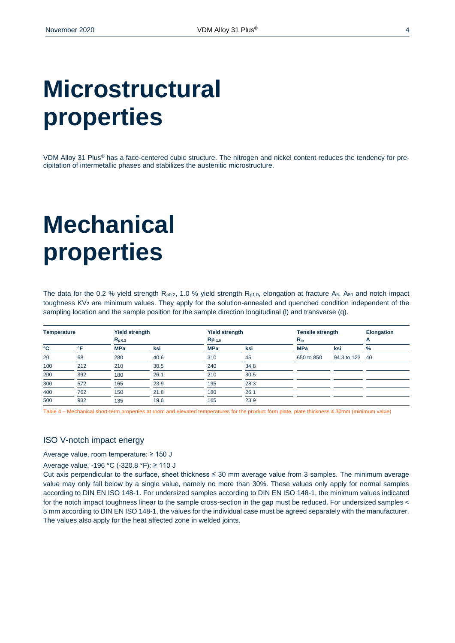# **Microstructural properties**

VDM Alloy 31 Plus® has a face-centered cubic structure. The nitrogen and nickel content reduces the tendency for precipitation of intermetallic phases and stabilizes the austenitic microstructure.

# **Mechanical properties**

The data for the 0.2 % yield strength  $R_{p0.2}$ , 1.0 % yield strength  $R_{p1.0}$ , elongation at fracture A<sub>5</sub>, A<sub>80</sub> and notch impact toughness KV<sup>2</sup> are minimum values. They apply for the solution-annealed and quenched condition independent of the sampling location and the sample position for the sample direction longitudinal (l) and transverse (q).

| <b>Temperature</b> |     | <b>Yield strength</b> |      | <b>Yield strength</b> |      | <b>Tensile strength</b> |             | <b>Elongation</b> |
|--------------------|-----|-----------------------|------|-----------------------|------|-------------------------|-------------|-------------------|
|                    |     | $R_{p,0.2}$           |      | Rp <sub>1.0</sub>     |      | $R_m$                   |             | А                 |
| °C                 | ∘⊏  | <b>MPa</b>            | ksi  | <b>MPa</b>            | ksi  | <b>MPa</b>              | ksi         | $\%$              |
| 20                 | 68  | 280                   | 40.6 | 310                   | 45   | 650 to 850              | 94.3 to 123 | -40               |
| 100                | 212 | 210                   | 30.5 | 240                   | 34.8 |                         |             |                   |
| 200                | 392 | 180                   | 26.1 | 210                   | 30.5 |                         |             |                   |
| 300                | 572 | 165                   | 23.9 | 195                   | 28.3 |                         |             |                   |
| 400                | 762 | 150                   | 21.8 | 180                   | 26.1 |                         |             |                   |
| 500                | 932 | 135                   | 19.6 | 165                   | 23.9 |                         |             |                   |

Table 4 – Mechanical short-term properties at room and elevated temperatures for the product form plate, plate thickness ≤ 30mm (minimum value)

#### ISO V-notch impact energy

Average value, room temperature: ≥ 150 J

Average value, -196 °C (-320.8 °F): ≥ 110 J

Cut axis perpendicular to the surface, sheet thickness ≤ 30 mm average value from 3 samples. The minimum average value may only fall below by a single value, namely no more than 30%. These values only apply for normal samples according to DIN EN ISO 148-1. For undersized samples according to DIN EN ISO 148-1, the minimum values indicated for the notch impact toughness linear to the sample cross-section in the gap must be reduced. For undersized samples < 5 mm according to DIN EN ISO 148-1, the values for the individual case must be agreed separately with the manufacturer. The values also apply for the heat affected zone in welded joints.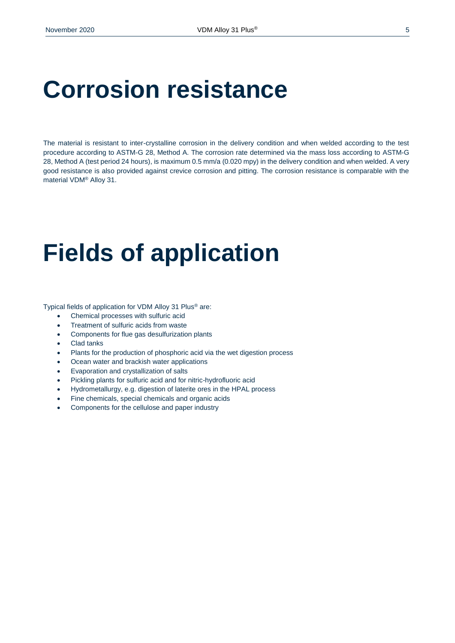### **Corrosion resistance**

The material is resistant to inter-crystalline corrosion in the delivery condition and when welded according to the test procedure according to ASTM-G 28, Method A. The corrosion rate determined via the mass loss according to ASTM-G 28, Method A (test period 24 hours), is maximum 0.5 mm/a (0.020 mpy) in the delivery condition and when welded. A very good resistance is also provided against crevice corrosion and pitting. The corrosion resistance is comparable with the material VDM® Alloy 31.

# **Fields of application**

Typical fields of application for VDM Alloy 31 Plus® are:

- Chemical processes with sulfuric acid
- Treatment of sulfuric acids from waste
- Components for flue gas desulfurization plants
- Clad tanks
- Plants for the production of phosphoric acid via the wet digestion process
- Ocean water and brackish water applications
- Evaporation and crystallization of salts
- Pickling plants for sulfuric acid and for nitric-hydrofluoric acid
- Hydrometallurgy, e.g. digestion of laterite ores in the HPAL process
- Fine chemicals, special chemicals and organic acids
- Components for the cellulose and paper industry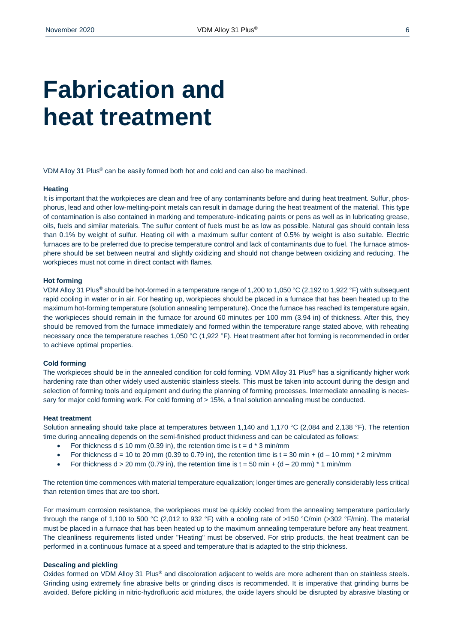## **Fabrication and heat treatment**

VDM Alloy 31 Plus® can be easily formed both hot and cold and can also be machined.

#### **Heating**

It is important that the workpieces are clean and free of any contaminants before and during heat treatment. Sulfur, phosphorus, lead and other low-melting-point metals can result in damage during the heat treatment of the material. This type of contamination is also contained in marking and temperature-indicating paints or pens as well as in lubricating grease, oils, fuels and similar materials. The sulfur content of fuels must be as low as possible. Natural gas should contain less than 0.1% by weight of sulfur. Heating oil with a maximum sulfur content of 0.5% by weight is also suitable. Electric furnaces are to be preferred due to precise temperature control and lack of contaminants due to fuel. The furnace atmosphere should be set between neutral and slightly oxidizing and should not change between oxidizing and reducing. The workpieces must not come in direct contact with flames.

#### **Hot forming**

VDM Alloy 31 Plus® should be hot-formed in a temperature range of 1,200 to 1,050 °C (2,192 to 1,922 °F) with subsequent rapid cooling in water or in air. For heating up, workpieces should be placed in a furnace that has been heated up to the maximum hot-forming temperature (solution annealing temperature). Once the furnace has reached its temperature again, the workpieces should remain in the furnace for around 60 minutes per 100 mm (3.94 in) of thickness. After this, they should be removed from the furnace immediately and formed within the temperature range stated above, with reheating necessary once the temperature reaches 1,050 °C (1,922 °F). Heat treatment after hot forming is recommended in order to achieve optimal properties.

#### **Cold forming**

The workpieces should be in the annealed condition for cold forming. VDM Alloy 31 Plus<sup>®</sup> has a significantly higher work hardening rate than other widely used austenitic stainless steels. This must be taken into account during the design and selection of forming tools and equipment and during the planning of forming processes. Intermediate annealing is necessary for major cold forming work. For cold forming of > 15%, a final solution annealing must be conducted.

#### **Heat treatment**

Solution annealing should take place at temperatures between 1,140 and 1,170 °C (2,084 and 2,138 °F). The retention time during annealing depends on the semi-finished product thickness and can be calculated as follows:

- For thickness  $d \le 10$  mm (0.39 in), the retention time is  $t = d * 3$  min/mm
- For thickness d = 10 to 20 mm (0.39 to 0.79 in), the retention time is t = 30 min + (d 10 mm)  $*$  2 min/mm
- For thickness  $d > 20$  mm (0.79 in), the retention time is  $t = 50$  min + (d 20 mm)  $\pm$  1 min/mm

The retention time commences with material temperature equalization; longer times are generally considerably less critical than retention times that are too short.

For maximum corrosion resistance, the workpieces must be quickly cooled from the annealing temperature particularly through the range of 1,100 to 500 °C (2,012 to 932 °F) with a cooling rate of >150 °C/min (>302 °F/min). The material must be placed in a furnace that has been heated up to the maximum annealing temperature before any heat treatment. The cleanliness requirements listed under "Heating" must be observed. For strip products, the heat treatment can be performed in a continuous furnace at a speed and temperature that is adapted to the strip thickness.

#### **Descaling and pickling**

Oxides formed on VDM Alloy 31 Plus<sup>®</sup> and discoloration adjacent to welds are more adherent than on stainless steels. Grinding using extremely fine abrasive belts or grinding discs is recommended. It is imperative that grinding burns be avoided. Before pickling in nitric-hydrofluoric acid mixtures, the oxide layers should be disrupted by abrasive blasting or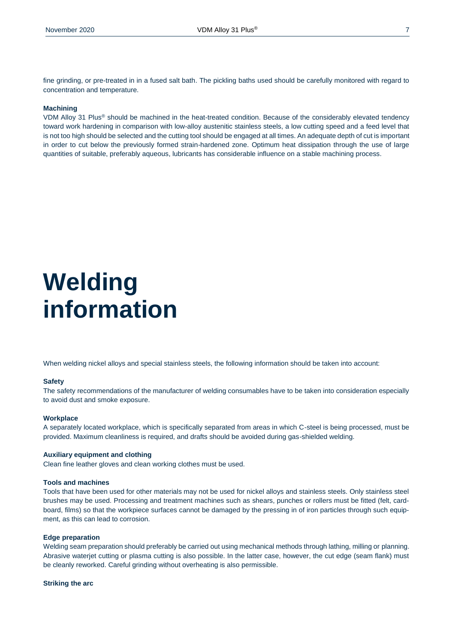fine grinding, or pre-treated in in a fused salt bath. The pickling baths used should be carefully monitored with regard to concentration and temperature.

#### **Machining**

VDM Alloy 31 Plus® should be machined in the heat-treated condition. Because of the considerably elevated tendency toward work hardening in comparison with low-alloy austenitic stainless steels, a low cutting speed and a feed level that is not too high should be selected and the cutting tool should be engaged at all times. An adequate depth of cut is important in order to cut below the previously formed strain-hardened zone. Optimum heat dissipation through the use of large quantities of suitable, preferably aqueous, lubricants has considerable influence on a stable machining process.

# **Welding information**

When welding nickel alloys and special stainless steels, the following information should be taken into account:

#### **Safety**

The safety recommendations of the manufacturer of welding consumables have to be taken into consideration especially to avoid dust and smoke exposure.

#### **Workplace**

A separately located workplace, which is specifically separated from areas in which C-steel is being processed, must be provided. Maximum cleanliness is required, and drafts should be avoided during gas-shielded welding.

#### **Auxiliary equipment and clothing**

Clean fine leather gloves and clean working clothes must be used.

#### **Tools and machines**

Tools that have been used for other materials may not be used for nickel alloys and stainless steels. Only stainless steel brushes may be used. Processing and treatment machines such as shears, punches or rollers must be fitted (felt, cardboard, films) so that the workpiece surfaces cannot be damaged by the pressing in of iron particles through such equipment, as this can lead to corrosion.

#### **Edge preparation**

Welding seam preparation should preferably be carried out using mechanical methods through lathing, milling or planning. Abrasive waterjet cutting or plasma cutting is also possible. In the latter case, however, the cut edge (seam flank) must be cleanly reworked. Careful grinding without overheating is also permissible.

#### **Striking the arc**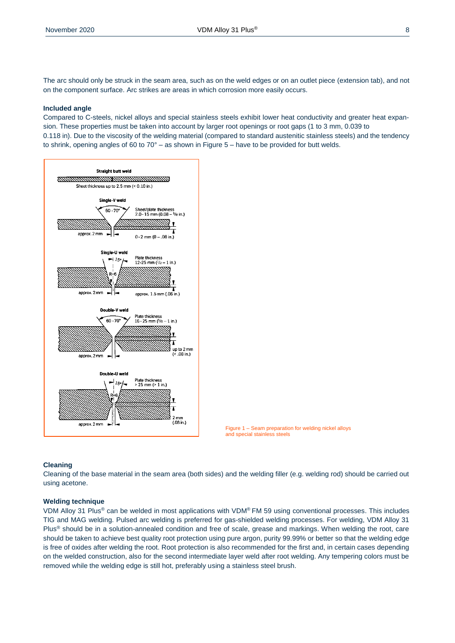The arc should only be struck in the seam area, such as on the weld edges or on an outlet piece (extension tab), and not on the component surface. Arc strikes are areas in which corrosion more easily occurs.

#### **Included angle**

Compared to C-steels, nickel alloys and special stainless steels exhibit lower heat conductivity and greater heat expansion. These properties must be taken into account by larger root openings or root gaps (1 to 3 mm, 0.039 to 0.118 in). Due to the viscosity of the welding material (compared to standard austenitic stainless steels) and the tendency to shrink, opening angles of 60 to  $70^{\circ}$  – as shown in Figure 5 – have to be provided for butt welds.





#### **Cleaning**

Cleaning of the base material in the seam area (both sides) and the welding filler (e.g. welding rod) should be carried out using acetone.

#### **Welding technique**

VDM Alloy 31 Plus® can be welded in most applications with VDM® FM 59 using conventional processes. This includes TIG and MAG welding. Pulsed arc welding is preferred for gas-shielded welding processes. For welding, VDM Alloy 31 Plus<sup>®</sup> should be in a solution-annealed condition and free of scale, grease and markings. When welding the root, care should be taken to achieve best quality root protection using pure argon, purity 99.99% or better so that the welding edge is free of oxides after welding the root. Root protection is also recommended for the first and, in certain cases depending on the welded construction, also for the second intermediate layer weld after root welding. Any tempering colors must be removed while the welding edge is still hot, preferably using a stainless steel brush.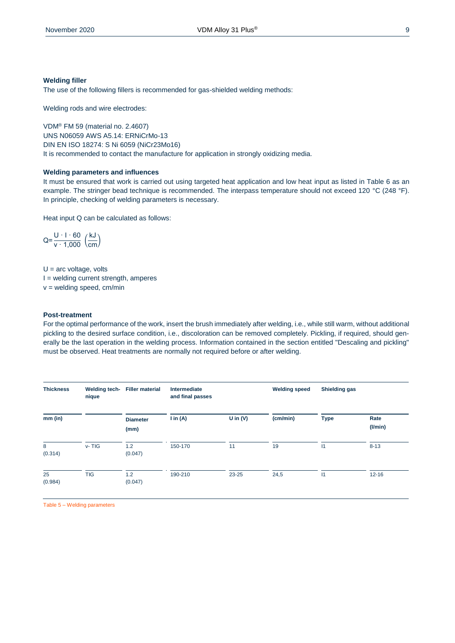#### **Welding filler**

The use of the following fillers is recommended for gas-shielded welding methods:

Welding rods and wire electrodes:

VDM® FM 59 (material no. 2.4607) UNS N06059 AWS A5.14: ERNiCrMo-13 DIN EN ISO 18274: S Ni 6059 (NiCr23Mo16) It is recommended to contact the manufacture for application in strongly oxidizing media.

#### **Welding parameters and influences**

It must be ensured that work is carried out using targeted heat application and low heat input as listed in Table 6 as an example. The stringer bead technique is recommended. The interpass temperature should not exceed 120 °C (248 °F). In principle, checking of welding parameters is necessary.

Heat input Q can be calculated as follows:

$$
Q = \frac{U \cdot 1 \cdot 60}{v \cdot 1,000} \left(\frac{kJ}{cm}\right)
$$

 $U =$  arc voltage, volts  $I =$  welding current strength, amperes  $v =$  welding speed, cm/min

#### **Post-treatment**

For the optimal performance of the work, insert the brush immediately after welding, i.e., while still warm, without additional pickling to the desired surface condition, i.e., discoloration can be removed completely. Pickling, if required, should generally be the last operation in the welding process. Information contained in the section entitled "Descaling and pickling" must be observed. Heat treatments are normally not required before or after welding.

| <b>Thickness</b> | Welding tech-<br>nique | <b>Filler material</b>  | Intermediate<br>and final passes |            | <b>Welding speed</b> | <b>Shielding gas</b> |                       |
|------------------|------------------------|-------------------------|----------------------------------|------------|----------------------|----------------------|-----------------------|
| mm (in)          |                        | <b>Diameter</b><br>(mm) | $\mathsf{I}$ in (A)              | U in $(V)$ | (cm/min)             | <b>Type</b>          | Rate<br>$($ l/min $)$ |
| 8<br>(0.314)     | $v - TIG$              | 1.2<br>(0.047)          | 150-170                          | 11         | 19                   | $\mathsf{I}$         | $8 - 13$              |
| 25<br>(0.984)    | <b>TIG</b>             | 1.2<br>(0.047)          | 190-210                          | 23-25      | 24,5                 | $\mathsf{I}$         | $12 - 16$             |

Table 5 – Welding parameters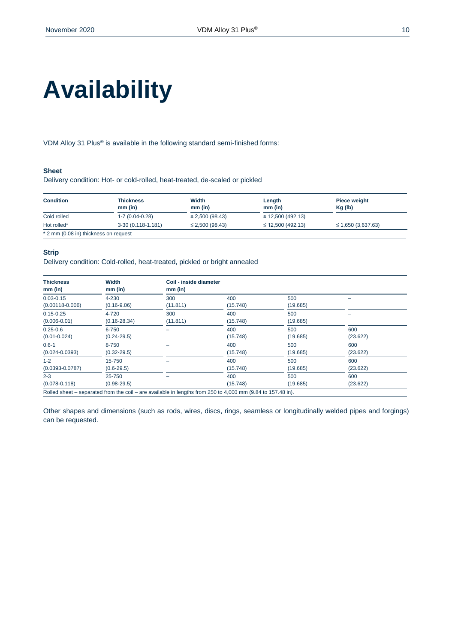# **Availability**

VDM Alloy 31 Plus® is available in the following standard semi-finished forms:

#### **Sheet**

Delivery condition: Hot- or cold-rolled, heat-treated, de-scaled or pickled

| <b>Condition</b>                      | <b>Thickness</b>     | Width                | Length                 | Piece weight            |
|---------------------------------------|----------------------|----------------------|------------------------|-------------------------|
|                                       | $mm$ (in)            | $mm$ (in)            | $mm$ (in)              | Kg (lb)                 |
| Cold rolled                           | $1 - 7(0.04 - 0.28)$ | $\leq$ 2,500 (98.43) | $\leq$ 12,500 (492.13) |                         |
| Hot rolled*                           | 3-30 (0.118-1.181)   | $\leq$ 2,500 (98.43) | $\leq$ 12,500 (492.13) | $\leq$ 1,650 (3,637.63) |
| * 2 mm (0.08 in) thickness on request |                      |                      |                        |                         |

#### **Strip**

Delivery condition: Cold-rolled, heat-treated, pickled or bright annealed

| <b>Thickness</b><br>$mm$ (in) | Width<br>$mm$ (in) | Coil - inside diameter<br>$mm$ (in) |          |          |          |
|-------------------------------|--------------------|-------------------------------------|----------|----------|----------|
| $0.03 - 0.15$                 | 4-230              | 300                                 | 400      | 500      |          |
| $(0.00118 - 0.006)$           | $(0.16 - 9.06)$    | (11.811)                            | (15.748) | (19.685) |          |
| $0.15 - 0.25$                 | 4-720              | 300                                 | 400      | 500      |          |
| $(0.006 - 0.01)$              | $(0.16 - 28.34)$   | (11.811)                            | (15.748) | (19.685) |          |
| $0.25 - 0.6$                  | 6-750              |                                     | 400      | 500      | 600      |
| $(0.01 - 0.024)$              | $(0.24 - 29.5)$    |                                     | (15.748) | (19.685) | (23.622) |
| $0.6 - 1$                     | 8-750              |                                     | 400      | 500      | 600      |
| $(0.024 - 0.0393)$            | $(0.32 - 29.5)$    |                                     | (15.748) | (19.685) | (23.622) |
| $1 - 2$                       | 15-750             |                                     | 400      | 500      | 600      |
| $(0.0393 - 0.0787)$           | $(0.6 - 29.5)$     |                                     | (15.748) | (19.685) | (23.622) |
| $2 - 3$                       | 25-750             |                                     | 400      | 500      | 600      |
| $(0.078 - 0.118)$             | $(0.98 - 29.5)$    |                                     | (15.748) | (19.685) | (23.622) |

Other shapes and dimensions (such as rods, wires, discs, rings, seamless or longitudinally welded pipes and forgings) can be requested.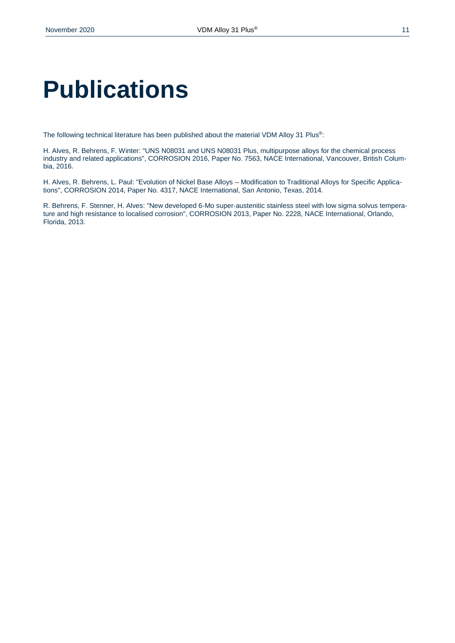# **Publications**

The following technical literature has been published about the material VDM Alloy 31 Plus®:

H. Alves, R. Behrens, F. Winter: "UNS N08031 and UNS N08031 Plus, multipurpose alloys for the chemical process industry and related applications", CORROSION 2016, Paper No. 7563, NACE International, Vancouver, British Columbia, 2016.

H. Alves, R. Behrens, L. Paul: "Evolution of Nickel Base Alloys – Modification to Traditional Alloys for Specific Applications", CORROSION 2014, Paper No. 4317, NACE International, San Antonio, Texas, 2014.

R. Behrens, F. Stenner, H. Alves: "New developed 6‐Mo super‐austenitic stainless steel with low sigma solvus temperature and high resistance to localised corrosion", CORROSION 2013, Paper No. 2228, NACE International, Orlando, Florida, 2013.